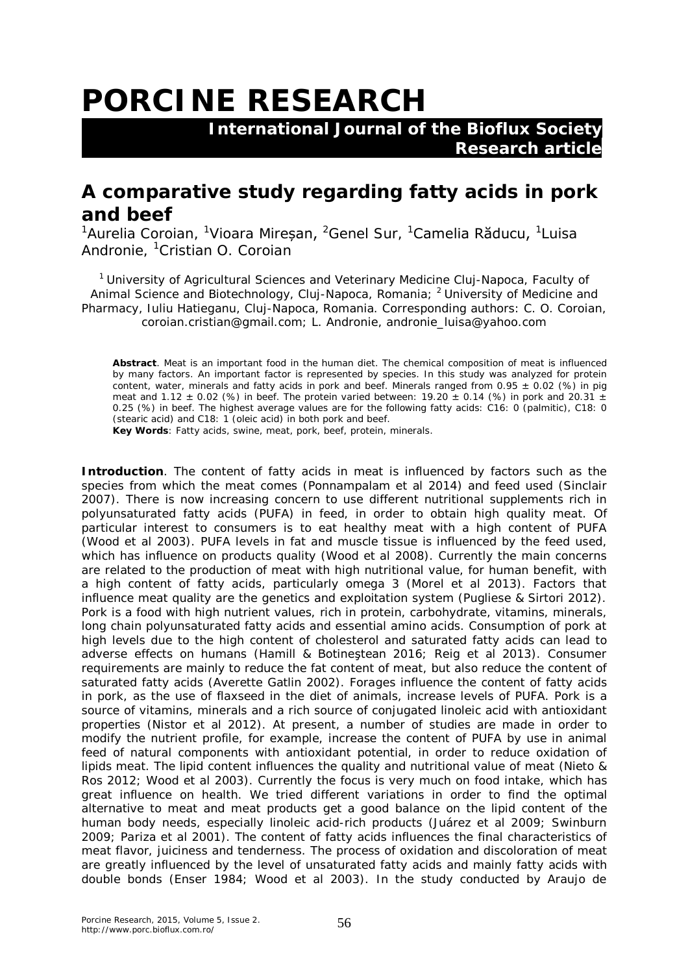## **PORCINE RESEARCH**

 **International Journal of the Bioflux Society Research article**

## **A comparative study regarding fatty acids in pork and beef**

<sup>1</sup>Aurelia Coroian, <sup>1</sup>Vioara Mireșan, <sup>2</sup>Genel Sur, <sup>1</sup>Camelia Răducu, <sup>1</sup>Luisa Andronie, <sup>1</sup>Cristian O. Coroian

<sup>1</sup> University of Agricultural Sciences and Veterinary Medicine Cluj-Napoca, Faculty of Animal Science and Biotechnology, Cluj-Napoca, Romania; <sup>2</sup> University of Medicine and Pharmacy, Iuliu Hatieganu, Cluj-Napoca, Romania. Corresponding authors: C. O. Coroian, coroian.cristian@gmail.com; L. Andronie, andronie\_luisa@yahoo.com

**Abstract**. Meat is an important food in the human diet. The chemical composition of meat is influenced by many factors. An important factor is represented by species. In this study was analyzed for protein content, water, minerals and fatty acids in pork and beef. Minerals ranged from 0.95  $\pm$  0.02 (%) in pig meat and 1.12  $\pm$  0.02 (%) in beef. The protein varied between: 19.20  $\pm$  0.14 (%) in pork and 20.31  $\pm$ 0.25 (%) in beef. The highest average values are for the following fatty acids: C16: 0 (palmitic), C18: 0 (stearic acid) and C18: 1 (oleic acid) in both pork and beef. **Key Words**: Fatty acids, swine, meat, pork, beef, protein, minerals.

**Introduction**. The content of fatty acids in meat is influenced by factors such as the species from which the meat comes (Ponnampalam et al 2014) and feed used (Sinclair 2007). There is now increasing concern to use different nutritional supplements rich in polyunsaturated fatty acids (PUFA) in feed, in order to obtain high quality meat. Of particular interest to consumers is to eat healthy meat with a high content of PUFA (Wood et al 2003). PUFA levels in fat and muscle tissue is influenced by the feed used, which has influence on products quality (Wood et al 2008). Currently the main concerns are related to the production of meat with high nutritional value, for human benefit, with a high content of fatty acids, particularly omega 3 (Morel et al 2013). Factors that influence meat quality are the genetics and exploitation system (Pugliese & Sirtori 2012). Pork is a food with high nutrient values, rich in protein, carbohydrate, vitamins, minerals, long chain polyunsaturated fatty acids and essential amino acids. Consumption of pork at high levels due to the high content of cholesterol and saturated fatty acids can lead to adverse effects on humans (Hamill & Botineştean 2016; Reig et al 2013). Consumer requirements are mainly to reduce the fat content of meat, but also reduce the content of saturated fatty acids (Averette Gatlin 2002). Forages influence the content of fatty acids in pork, as the use of flaxseed in the diet of animals, increase levels of PUFA. Pork is a source of vitamins, minerals and a rich source of conjugated linoleic acid with antioxidant properties (Nistor et al 2012). At present, a number of studies are made in order to modify the nutrient profile, for example, increase the content of PUFA by use in animal feed of natural components with antioxidant potential, in order to reduce oxidation of lipids meat. The lipid content influences the quality and nutritional value of meat (Nieto & Ros 2012; Wood et al 2003). Currently the focus is very much on food intake, which has great influence on health. We tried different variations in order to find the optimal alternative to meat and meat products get a good balance on the lipid content of the human body needs, especially linoleic acid-rich products (Juárez et al 2009; Swinburn 2009; Pariza et al 2001). The content of fatty acids influences the final characteristics of meat flavor, juiciness and tenderness. The process of oxidation and discoloration of meat are greatly influenced by the level of unsaturated fatty acids and mainly fatty acids with double bonds (Enser 1984; Wood et al 2003). In the study conducted by Araujo de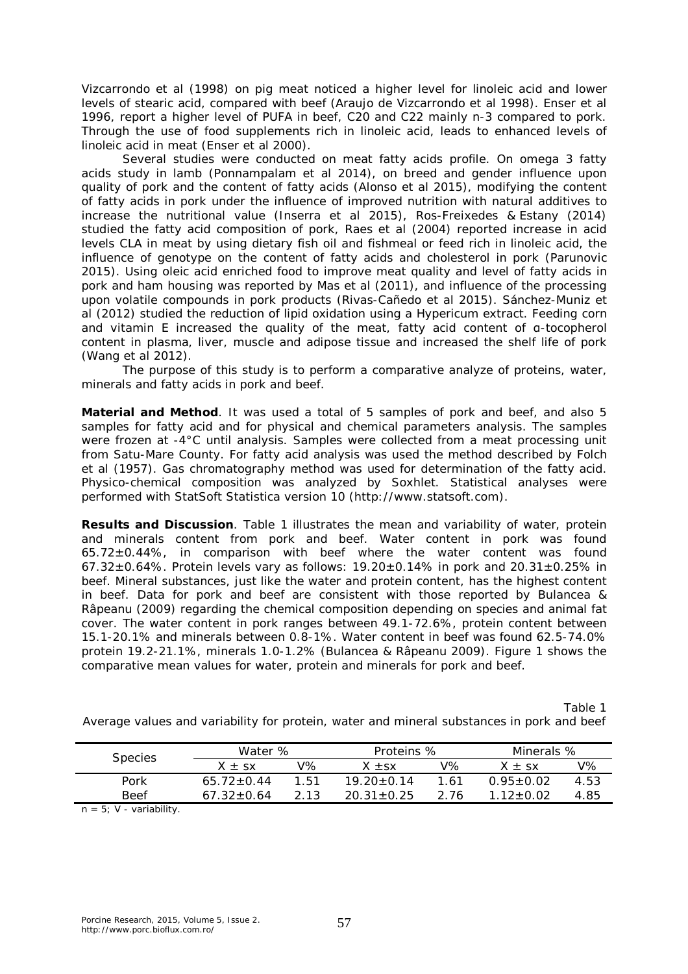Vizcarrondo et al (1998) on pig meat noticed a higher level for linoleic acid and lower levels of stearic acid, compared with beef (Araujo de Vizcarrondo et al 1998). Enser et al 1996, report a higher level of PUFA in beef, C20 and C22 mainly n-3 compared to pork. Through the use of food supplements rich in linoleic acid, leads to enhanced levels of linoleic acid in meat (Enser et al 2000).

Several studies were conducted on meat fatty acids profile. On omega 3 fatty acids study in lamb (Ponnampalam et al 2014), on breed and gender influence upon quality of pork and the content of fatty acids (Alonso et al 2015), modifying the content of fatty acids in pork under the influence of improved nutrition with natural additives to increase the nutritional value (Inserra et al 2015), Ros-Freixedes & Estany (2014) studied the fatty acid composition of pork, Raes et al (2004) reported increase in acid levels CLA in meat by using dietary fish oil and fishmeal or feed rich in linoleic acid, the influence of genotype on the content of fatty acids and cholesterol in pork (Parunovic 2015). Using oleic acid enriched food to improve meat quality and level of fatty acids in pork and ham housing was reported by Mas et al (2011), and influence of the processing upon volatile compounds in pork products (Rivas-Cañedo et al 2015). Sánchez-Muniz et al (2012) studied the reduction of lipid oxidation using a Hypericum extract. Feeding corn and vitamin E increased the quality of the meat, fatty acid content of α-tocopherol content in plasma, liver, muscle and adipose tissue and increased the shelf life of pork (Wang et al 2012).

The purpose of this study is to perform a comparative analyze of proteins, water, minerals and fatty acids in pork and beef.

**Material and Method**. It was used a total of 5 samples of pork and beef, and also 5 samples for fatty acid and for physical and chemical parameters analysis. The samples were frozen at -4°C until analysis. Samples were collected from a meat processing unit from Satu-Mare County. For fatty acid analysis was used the method described by Folch et al (1957). Gas chromatography method was used for determination of the fatty acid. Physico-chemical composition was analyzed by Soxhlet. Statistical analyses were performed with StatSoft Statistica version 10 (http://www.statsoft.com).

**Results and Discussion**. Table 1 illustrates the mean and variability of water, protein and minerals content from pork and beef. Water content in pork was found 65.72±0.44%, in comparison with beef where the water content was found 67.32±0.64%. Protein levels vary as follows: 19.20±0.14% in pork and 20.31±0.25% in beef. Mineral substances, just like the water and protein content, has the highest content in beef. Data for pork and beef are consistent with those reported by Bulancea & Râpeanu (2009) regarding the chemical composition depending on species and animal fat cover. The water content in pork ranges between 49.1-72.6%, protein content between 15.1-20.1% and minerals between 0.8-1%. Water content in beef was found 62.5-74.0% protein 19.2-21.1%, minerals 1.0-1.2% (Bulancea & Râpeanu 2009). Figure 1 shows the comparative mean values for water, protein and minerals for pork and beef.

Table 1 Average values and variability for protein, water and mineral substances in pork and beef

| <b>Species</b>              | Water %        |      | Proteins %     |      | Minerals %          |      |
|-----------------------------|----------------|------|----------------|------|---------------------|------|
|                             | $X + sx$       | V%   | $X + SX$       | V%   | $X + SX$            | V%   |
| Pork                        | $65.72 + 0.44$ | 1.51 | $19.20 + 0.14$ | 1.61 | $0.95 \pm 0.02$     | 4.53 |
| <b>Beef</b>                 | $67.32 + 0.64$ | 2.13 | $20.31 + 0.25$ | 2.76 | 1 12 + 0 0 $\Omega$ | 4.85 |
| $n = E \cdot M$ variability |                |      |                |      |                     |      |

 $n = 5$ ; V - variability.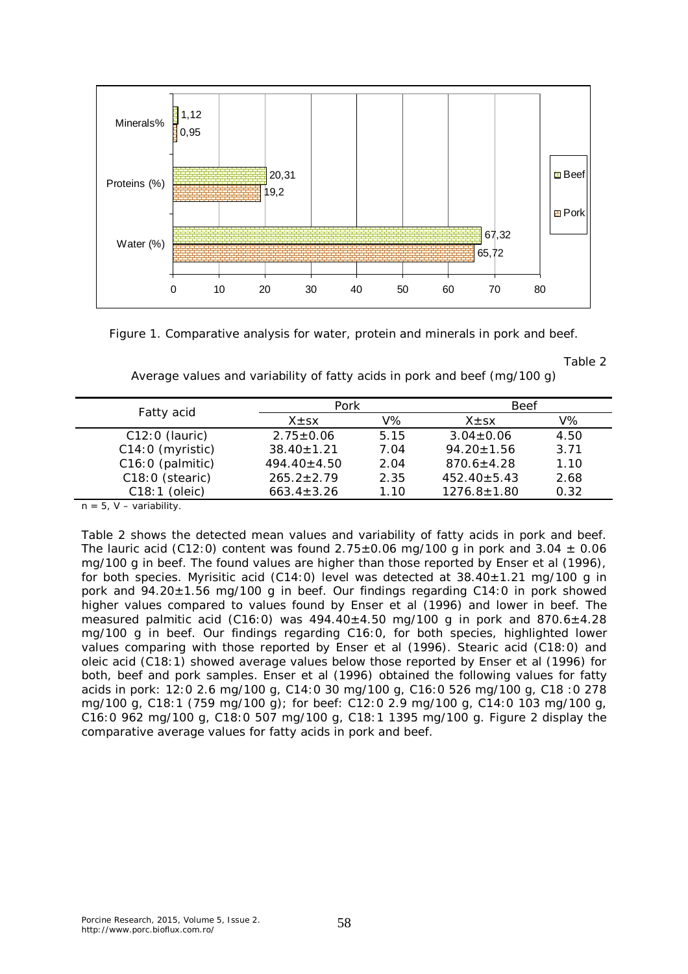

Figure 1. Comparative analysis for water, protein and minerals in pork and beef.

Table 2

| Average values and variability of fatty acids in pork and beef (mg/100 g) |  |  |  |
|---------------------------------------------------------------------------|--|--|--|
|                                                                           |  |  |  |

| Fatty acid       | Pork              |      | Beef              |      |
|------------------|-------------------|------|-------------------|------|
|                  | $X \pm SX$        | V%   | $X \pm SX$        | V%   |
| $C12:0$ (lauric) | $2.75 \pm 0.06$   | 5.15 | $3.04 \pm 0.06$   | 4.50 |
| C14:0 (myristic) | $38.40 \pm 1.21$  | 7.04 | $94.20 \pm 1.56$  | 3.71 |
| C16:0 (palmitic) | $494.40 \pm 4.50$ | 2.04 | $870.6 \pm 4.28$  | 1.10 |
| C18:0 (stearic)  | $265.2 \pm 2.79$  | 2.35 | $452.40 \pm 5.43$ | 2.68 |
| $C18:1$ (oleic)  | $663.4 \pm 3.26$  | 1.10 | $1276.8 \pm 1.80$ | 0.32 |

 $n = 5$ , V – variability.

Table 2 shows the detected mean values and variability of fatty acids in pork and beef. The lauric acid (C12:0) content was found  $2.75\pm0.06$  mg/100 g in pork and  $3.04\pm0.06$ mg/100 g in beef. The found values are higher than those reported by Enser et al (1996), for both species. Myrisitic acid (C14:0) level was detected at  $38.40 \pm 1.21$  mg/100 g in pork and  $94.20 \pm 1.56$  mg/100 g in beef. Our findings regarding C14:0 in pork showed higher values compared to values found by Enser et al (1996) and lower in beef. The measured palmitic acid (C16:0) was  $494.40\pm4.50$  mg/100 g in pork and  $870.6\pm4.28$ mg/100 g in beef. Our findings regarding C16:0, for both species, highlighted lower values comparing with those reported by Enser et al (1996). Stearic acid (C18:0) and oleic acid (C18:1) showed average values below those reported by Enser et al (1996) for both, beef and pork samples. Enser et al (1996) obtained the following values for fatty acids in pork: 12:0 2.6 mg/100 g, C14:0 30 mg/100 g, C16:0 526 mg/100 g, C18 :0 278 mg/100 g, C18:1 (759 mg/100 g); for beef: C12:0 2.9 mg/100 g, C14:0 103 mg/100 g, C16:0 962 mg/100 g, C18:0 507 mg/100 g, C18:1 1395 mg/100 g. Figure 2 display the comparative average values for fatty acids in pork and beef.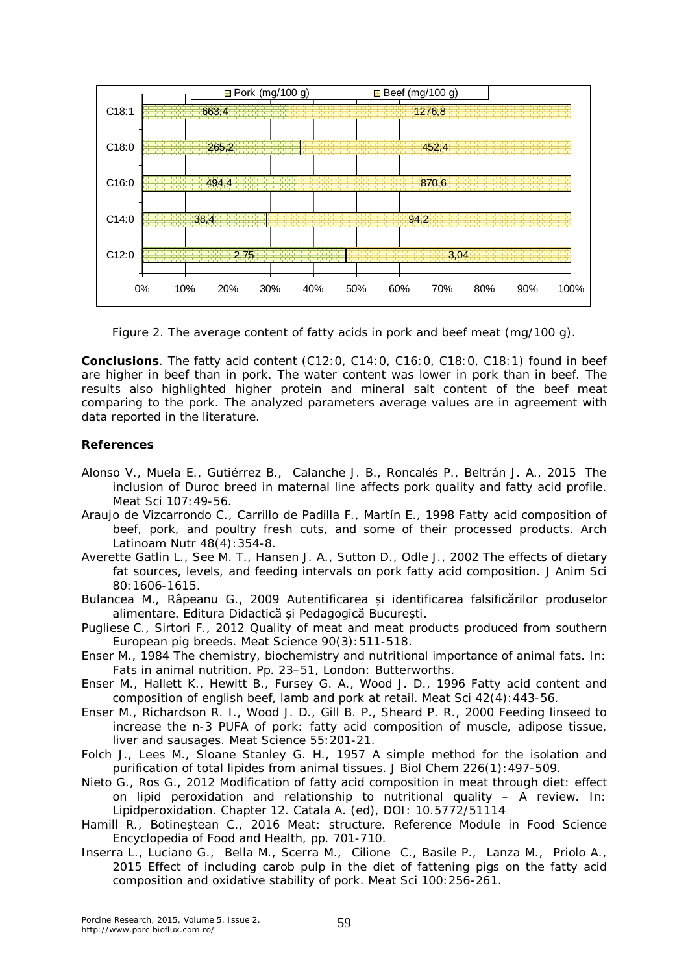

Figure 2. The average content of fatty acids in pork and beef meat (mg/100 g).

**Conclusions**. The fatty acid content (C12:0, C14:0, C16:0, C18:0, C18:1) found in beef are higher in beef than in pork. The water content was lower in pork than in beef. The results also highlighted higher protein and mineral salt content of the beef meat comparing to the pork. The analyzed parameters average values are in agreement with data reported in the literature.

## **References**

- Alonso V., Muela E., Gutiérrez B., Calanche J. B., Roncalés P., Beltrán J. A., 2015 The inclusion of Duroc breed in maternal line affects pork quality and fatty acid profile. Meat Sci 107:49-56.
- Araujo de Vizcarrondo C., Carrillo de Padilla F., Martín E., 1998 Fatty acid composition of beef, pork, and poultry fresh cuts, and some of their processed products. Arch Latinoam Nutr 48(4):354-8.
- Averette Gatlin L., See M. T., Hansen J. A., Sutton D., Odle J., 2002 The effects of dietary fat sources, levels, and feeding intervals on pork fatty acid composition. J Anim Sci 80:1606-1615.
- Bulancea M., Râpeanu G., 2009 Autentificarea și identificarea falsificărilor produselor alimentare. Editura Didactică și Pedagogică București.
- Pugliese C., Sirtori F., 2012 Quality of meat and meat products produced from southern European pig breeds. Meat Science 90(3):511-518.
- Enser M., 1984 The chemistry, biochemistry and nutritional importance of animal fats. In: Fats in animal nutrition. Pp. 23–51, London: Butterworths.
- Enser M., Hallett K., Hewitt B., Fursey G. A., Wood J. D., 1996 Fatty acid content and composition of english beef, lamb and pork at retail. Meat Sci 42(4):443-56.
- Enser M., Richardson R. I., Wood J. D., Gill B. P., Sheard P. R., 2000 Feeding linseed to increase the n-3 PUFA of pork: fatty acid composition of muscle, adipose tissue, liver and sausages. Meat Science 55:201-21.
- Folch J., Lees M., Sloane Stanley G. H., 1957 A simple method for the isolation and purification of total lipides from animal tissues. J Biol Chem 226(1):497-509.
- Nieto G., Ros G., 2012 Modification of fatty acid composition in meat through diet: effect on lipid peroxidation and relationship to nutritional quality – A review. In: Lipidperoxidation. Chapter 12. Catala A. (ed), DOI: 10.5772/51114
- Hamill R., Botineştean C., 2016 Meat: structure. Reference Module in Food Science Encyclopedia of Food and Health, pp. 701-710.
- Inserra L., Luciano G., Bella M., Scerra M., Cilione C., Basile P., Lanza M., Priolo A., 2015 Effect of including carob pulp in the diet of fattening pigs on the fatty acid composition and oxidative stability of pork. Meat Sci 100:256-261.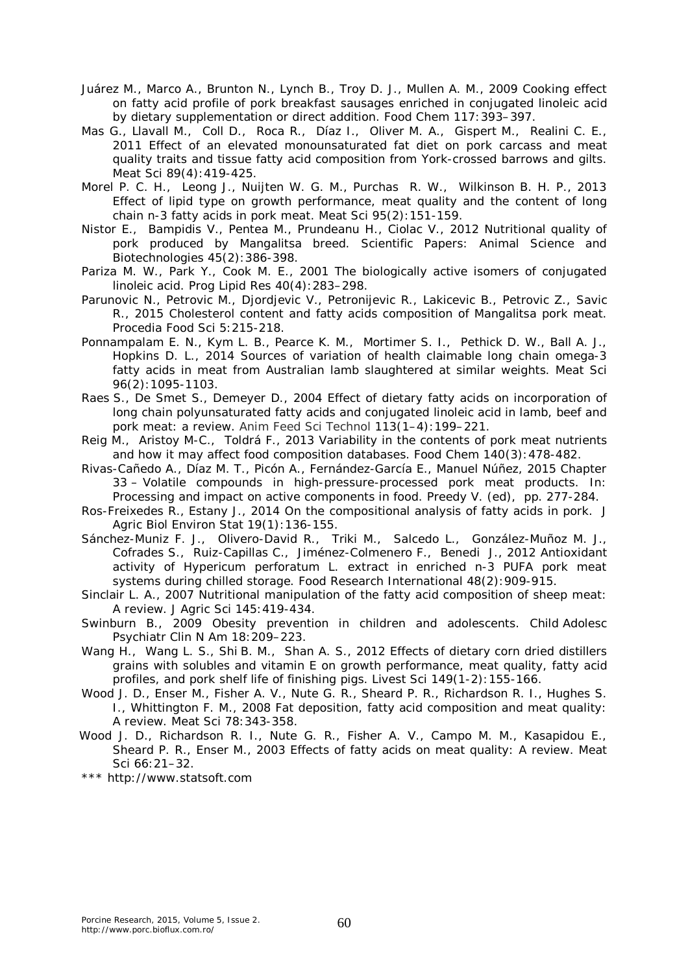- Juárez M., Marco A., Brunton N., Lynch B., Troy D. J., Mullen A. M., 2009 Cooking effect on fatty acid profile of pork breakfast sausages enriched in conjugated linoleic acid by dietary supplementation or direct addition. Food Chem 117:393–397.
- Mas G., Llavall M., Coll D., Roca R., Díaz I., Oliver M. A., Gispert M., Realini C. E., 2011 Effect of an elevated monounsaturated fat diet on pork carcass and meat quality traits and tissue fatty acid composition from York-crossed barrows and gilts. Meat Sci 89(4):419-425.
- Morel P. C. H., Leong J., Nuijten W. G. M., Purchas R. W., Wilkinson B. H. P., 2013 Effect of lipid type on growth performance, meat quality and the content of long chain n-3 fatty acids in pork meat. Meat Sci 95(2):151-159.
- Nistor E., Bampidis V., Pentea M., Prundeanu H., Ciolac V., 2012 Nutritional quality of pork produced by Mangalitsa breed. Scientific Papers: Animal Science and Biotechnologies 45(2):386-398.
- Pariza M. W., Park Y., Cook M. E., 2001 The biologically active isomers of conjugated linoleic acid. Prog Lipid Res 40(4):283–298.
- Parunovic N., Petrovic M., Djordjevic V., Petronijevic R., Lakicevic B., Petrovic Z., Savic R., 2015 Cholesterol content and fatty acids composition of Mangalitsa pork meat. Procedia Food Sci 5:215-218.
- Ponnampalam E. N., Kym L. B., Pearce K. M., Mortimer S. I., Pethick D. W., Ball A. J., Hopkins D. L., 2014 Sources of variation of health claimable long chain omega-3 fatty acids in meat from Australian lamb slaughtered at similar weights. Meat Sci 96(2):1095-1103.
- Raes S., De Smet S., Demeyer D., 2004 Effect of dietary fatty acids on incorporation of long chain polyunsaturated fatty acids and conjugated linoleic acid in lamb, beef and pork meat: a review. Anim Feed Sci Technol 113(1–4):199–221.
- Reig M., Aristoy M-C., Toldrá F., 2013 Variability in the contents of pork meat nutrients and how it may affect food composition databases. Food Chem 140(3):478-482.
- Rivas-Cañedo A., Díaz M. T., Picón A., Fernández-García E., Manuel Núñez, 2015 Chapter 33 – Volatile compounds in high-pressure-processed pork meat products. In: Processing and impact on active components in food. Preedy V. (ed), pp. 277-284.
- Ros-Freixedes R., Estany J., 2014 On the compositional analysis of fatty acids in pork. J Agric Biol Environ Stat 19(1):136-155.
- Sánchez-Muniz F. J., Olivero-David R., Triki M., Salcedo L., González-Muñoz M. J., Cofrades S., Ruiz-Capillas C., Jiménez-Colmenero F., Benedi J., 2012 Antioxidant activity of *Hypericum perforatum* L. extract in enriched n-3 PUFA pork meat systems during chilled storage. Food Research International 48(2):909-915.
- Sinclair L. A., 2007 Nutritional manipulation of the fatty acid composition of sheep meat: A review. J Agric Sci 145:419-434.
- Swinburn B., 2009 Obesity prevention in children and adolescents. Child Adolesc Psychiatr Clin N Am 18:209–223.
- Wang H., Wang L. S., Shi B. M., Shan A. S., 2012 Effects of dietary corn dried distillers grains with solubles and vitamin E on growth performance, meat quality, fatty acid profiles, and pork shelf life of finishing pigs. Livest Sci 149(1-2):155-166.
- Wood J. D., Enser M., Fisher A. V., Nute G. R., Sheard P. R., Richardson R. I., Hughes S. I., Whittington F. M., 2008 Fat deposition, fatty acid composition and meat quality: A review. Meat Sci 78:343-358.
- Wood J. D., Richardson R. I., Nute G. R., Fisher A. V., Campo M. M., Kasapidou E., Sheard P. R., Enser M., 2003 Effects of fatty acids on meat quality: A review. Meat Sci 66:21–32.

\*\*\* http://www.statsoft.com